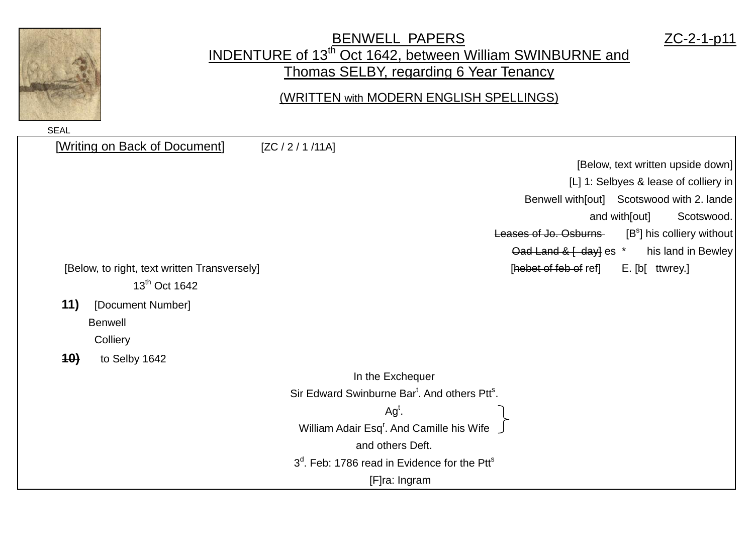

## BENWELL PAPERS ZC-2-1-p11 INDENTURE of 13<sup>th</sup> Oct 1642, between William SWINBURNE and Thomas SELBY, regarding 6 Year Tenancy

(WRITTEN with MODERN ENGLISH SPELLINGS)

| [Writing on Back of Document]                | [ZC / 2 / 1 / 11A]                                                       |
|----------------------------------------------|--------------------------------------------------------------------------|
|                                              | [Below, text written upside down]                                        |
|                                              | [L] 1: Selbyes & lease of colliery in                                    |
|                                              | Benwell with[out] Scotswood with 2. lande                                |
|                                              | Scotswood.<br>and with[out]                                              |
|                                              | $[Bs]$ his colliery without<br>Leases of Jo. Osburns                     |
|                                              | $Oad$ Land & $\left\{ \text{ day} \right\}$ es $*$<br>his land in Bewley |
| [Below, to right, text written Transversely] | [hebet of feb of ref]<br>E. [b[ ttwrey.]                                 |
| 13 <sup>th</sup> Oct 1642                    |                                                                          |
| 11)<br>[Document Number]                     |                                                                          |
| <b>Benwell</b>                               |                                                                          |
| Colliery                                     |                                                                          |
| 10)<br>to Selby 1642                         |                                                                          |
|                                              | In the Exchequer                                                         |
|                                              | Sir Edward Swinburne Bar <sup>t</sup> . And others Ptt <sup>s</sup> .    |
|                                              | $Agt$ .                                                                  |
|                                              | William Adair Esq <sup>r</sup> . And Camille his Wife                    |
|                                              | and others Deft.                                                         |
|                                              | 3 <sup>d</sup> . Feb: 1786 read in Evidence for the Ptt <sup>s</sup>     |
|                                              | [F]ra: Ingram                                                            |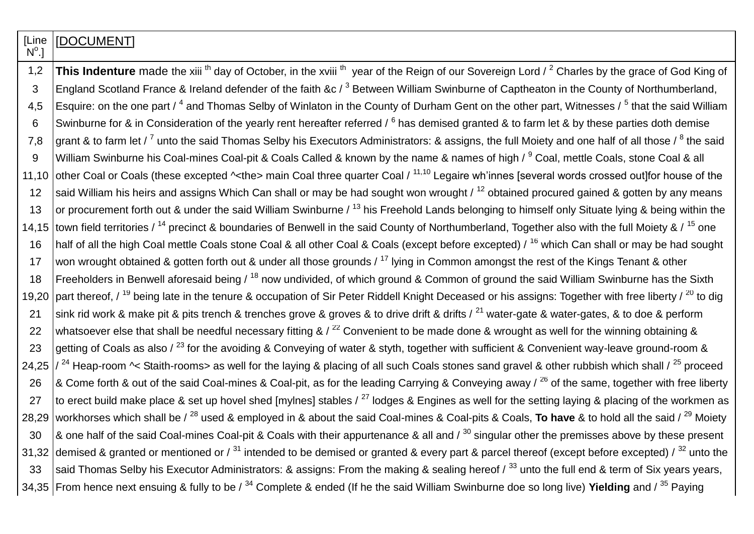**[Line**  $\mathsf{N}^\mathsf{o}$ .] **IDOCUMENTI** 1,2 **This Indenture** made the xiii <sup>th</sup> day of October, in the xviii <sup>th</sup> year of the Reign of our Sovereign Lord / <sup>2</sup> Charles by the grace of God King of 3 England Scotland France & Ireland defender of the faith &c  $\ell^3$  Between William Swinburne of Captheaton in the County of Northumberland, 4,5 |Esquire: on the one part / <sup>4</sup> and Thomas Selby of Winlaton in the County of Durham Gent on the other part, Witnesses / <sup>5</sup> that the said William 6 Swinburne for & in Consideration of the yearly rent hereafter referred /  $^6$  has demised granted & to farm let & by these parties doth demise 7,8  $\,$  grant & to farm let /  $^7$  unto the said Thomas Selby his Executors Administrators: & assigns, the full Moiety and one half of all those /  $^8$  the said 9 | William Swinburne his Coal-mines Coal-pit & Coals Called & known by the name & names of high / <sup>9</sup> Coal, mettle Coals, stone Coal & all 11,10 other Coal or Coals (these excepted ^<the> main Coal three quarter Coal / <sup>11,10</sup> Legaire wh'innes [several words crossed out] for house of the 12 said William his heirs and assigns Which Can shall or may be had sought won wrought  $/12$  obtained procured gained & gotten by any means 13 or procurement forth out & under the said William Swinburne  $\ell^{13}$  his Freehold Lands belonging to himself only Situate lying & being within the 14,15 town field territories / <sup>14</sup> precinct & boundaries of Benwell in the said County of Northumberland, Together also with the full Moiety & / <sup>15</sup> one 16 | half of all the high Coal mettle Coals stone Coal & all other Coal & Coals (except before excepted) / <sup>16</sup> which Can shall or may be had sought 17 won wrought obtained & gotten forth out & under all those grounds  $/17$  lying in Common amongst the rest of the Kings Tenant & other 18 Freeholders in Benwell aforesaid being /  $^{18}$  now undivided, of which ground & Common of ground the said William Swinburne has the Sixth 19,20 part thereof,  $\frac{19}{19}$  being late in the tenure & occupation of Sir Peter Riddell Knight Deceased or his assigns: Together with free liberty  $\frac{20}{10}$  to dig 21 Sink rid work & make pit & pits trench & trenches grove & groves & to drive drift & drifts  $/$ <sup>21</sup> water-gate & water-gates, & to doe & perform 22 whatsoever else that shall be needful necessary fitting &  $/$ <sup>22</sup> Convenient to be made done & wrought as well for the winning obtaining & 23 getting of Coals as also /  $^{23}$  for the avoiding & Conveying of water & styth, together with sufficient & Convenient way-leave ground-room & 24,25  $\frac{1}{24}$  Heap-room  $\sim$  Staith-rooms> as well for the laying & placing of all such Coals stones sand gravel & other rubbish which shall  $\frac{25}{25}$  proceed 26  $\,$  & Come forth & out of the said Coal-mines & Coal-pit, as for the leading Carrying & Conveying away /  $^{26}$  of the same, together with free liberty 27 to erect build make place & set up hovel shed [mylnes] stables  $\ell^{27}$  lodges & Engines as well for the setting laying & placing of the workmen as 28,29 workhorses which shall be / <sup>28</sup> used & employed in & about the said Coal-mines & Coal-pits & Coals, **To have** & to hold all the said / <sup>29</sup> Moiety 30  $\,$   $\,$  & one half of the said Coal-mines Coal-pit & Coals with their appurtenance & all and  $\,$   $\,$  30 singular other the premisses above by these present 31,32 demised & granted or mentioned or  $\frac{31}{2}$  intended to be demised or granted & every part & parcel thereof (except before excepted)  $\frac{32}{2}$  unto the 33 Said Thomas Selby his Executor Administrators: & assigns: From the making & sealing hereof  $\sqrt{33}$  unto the full end & term of Six vears vears. 34,35 From hence next ensuing & fully to be / <sup>34</sup> Complete & ended (If he the said William Swinburne doe so long live) **Yielding** and / <sup>35</sup> Paying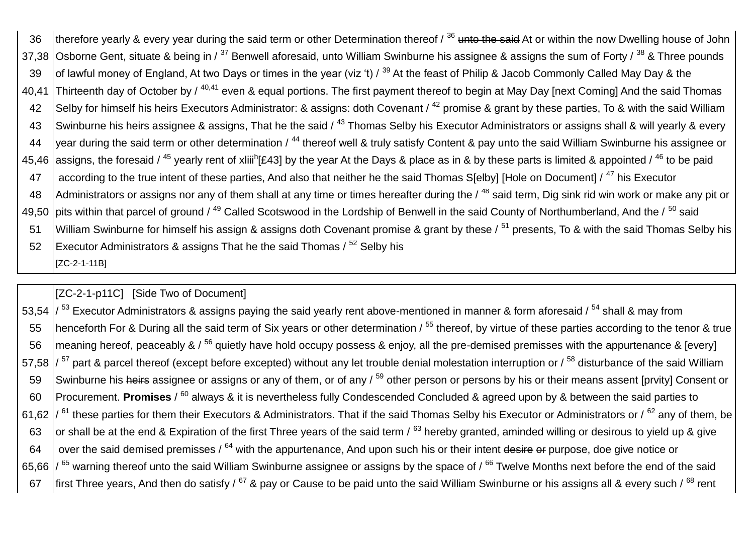| 36    | therefore yearly & every year during the said term or other Determination thereof / 36 unto the said At or within the now Dwelling house of John                                             |
|-------|----------------------------------------------------------------------------------------------------------------------------------------------------------------------------------------------|
|       | 37,38 Osborne Gent, situate & being in / <sup>37</sup> Benwell aforesaid, unto William Swinburne his assignee & assigns the sum of Forty / <sup>38</sup> & Three pounds                      |
| 39    | of lawful money of England, At two Days or times in the year (viz 't) / <sup>39</sup> At the feast of Philip & Jacob Commonly Called May Day & the                                           |
| 40,41 | Thirteenth day of October by / <sup>40,41</sup> even & equal portions. The first payment thereof to begin at May Day [next Coming] And the said Thomas                                       |
| 42    | Selby for himself his heirs Executors Administrator: & assigns: doth Covenant / <sup>42</sup> promise & grant by these parties, To & with the said William                                   |
| 43    | Swinburne his heirs assignee & assigns, That he the said / <sup>43</sup> Thomas Selby his Executor Administrators or assigns shall & will yearly & every                                     |
| 44    | year during the said term or other determination / <sup>44</sup> thereof well & truly satisfy Content & pay unto the said William Swinburne his assignee or                                  |
|       | 45,46 assigns, the foresaid / <sup>45</sup> yearly rent of xilii <sup>h</sup> [£43] by the year At the Days & place as in & by these parts is limited & appointed / <sup>46</sup> to be paid |
| 47    | according to the true intent of these parties, And also that neither he the said Thomas S[elby] [Hole on Document] / <sup>47</sup> his Executor                                              |
| 48    | Administrators or assigns nor any of them shall at any time or times hereafter during the / <sup>48</sup> said term, Dig sink rid win work or make any pit or                                |
|       | 49,50 pits within that parcel of ground / <sup>49</sup> Called Scotswood in the Lordship of Benwell in the said County of Northumberland, And the / <sup>50</sup> said                       |
| 51    | William Swinburne for himself his assign & assigns doth Covenant promise & grant by these / <sup>51</sup> presents, To & with the said Thomas Selby his                                      |
| 52    | Executor Administrators & assigns That he the said Thomas / <sup>52</sup> Selby his                                                                                                          |
|       | [ZC-2-1-11B]                                                                                                                                                                                 |

[ZC-2-1-p11C] [Side Two of Document]

53,54  $\frac{1}{53}$  Executor Administrators & assigns paying the said yearly rent above-mentioned in manner & form aforesaid  $\frac{1}{54}$  shall & may from 55 henceforth For & During all the said term of Six years or other determination / <sup>55</sup> thereof, by virtue of these parties according to the tenor & true 56  $\vert$  meaning hereof, peaceably & / <sup>56</sup> quietly have hold occupy possess & enjoy, all the pre-demised premisses with the appurtenance & [every] 57,58  $\frac{1}{57}$  part & parcel thereof (except before excepted) without any let trouble denial molestation interruption or  $\frac{1}{58}$  disturbance of the said William 59 Swinburne his heirs assignee or assigns or any of them, or of any / <sup>59</sup> other person or persons by his or their means assent [prvity] Consent or 60 Procurement. Promises / <sup>60</sup> always & it is nevertheless fully Condescended Concluded & agreed upon by & between the said parties to 61.62  $\frac{1}{61}$  these parties for them their Executors & Administrators. That if the said Thomas Selby his Executor or Administrators or  $\frac{62}{3}$  any of them, be 63 or shall be at the end & Expiration of the first Three years of the said term  $\sqrt{63}$  hereby granted, aminded willing or desirous to yield up & give 64 over the said demised premisses /  $^{64}$  with the appurtenance, And upon such his or their intent desire or purpose, doe give notice or 65,66  $\frac{1}{65}$  warning thereof unto the said William Swinburne assignee or assigns by the space of  $\frac{1}{66}$  Twelve Months next before the end of the said 67 first Three years. And then do satisfy /  $^{67}$  & pay or Cause to be paid unto the said William Swinburne or his assigns all & every such /  $^{68}$  rent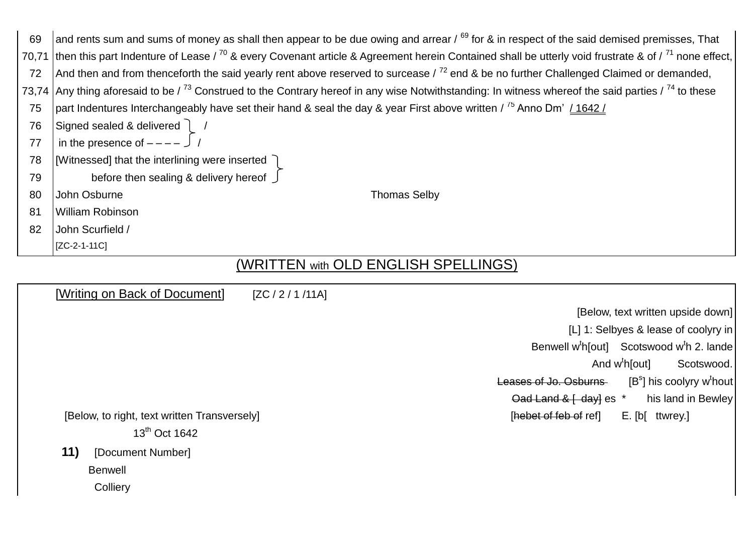| 69 | and rents sum and sums of money as shall then appear to be due owing and arrear / 69 for & in respect of the said demised premisses, That                                |
|----|--------------------------------------------------------------------------------------------------------------------------------------------------------------------------|
|    | 70,71 then this part Indenture of Lease / $^{70}$ & every Covenant article & Agreement herein Contained shall be utterly void frustrate & of / $^{71}$ none effect,      |
| 72 | And then and from thenceforth the said yearly rent above reserved to surcease $\frac{72}{2}$ end & be no further Challenged Claimed or demanded,                         |
|    | 73,74 Any thing aforesaid to be $\frac{73}{3}$ Construed to the Contrary hereof in any wise Notwithstanding: In witness whereof the said parties $\frac{74}{3}$ to these |
| 75 | part Indentures Interchangeably have set their hand & seal the day & year First above written / $^{75}$ Anno Dm' / 1642 /                                                |
| 76 | Signed sealed & delivered 1                                                                                                                                              |
| 77 | in the presence of $-- \int$ /                                                                                                                                           |
| 78 | [Witnessed] that the interlining were inserted )                                                                                                                         |
| 79 | before then sealing & delivery hereof                                                                                                                                    |
| 80 | John Osburne<br><b>Thomas Selby</b>                                                                                                                                      |
| 81 | William Robinson                                                                                                                                                         |
| 82 | John Scurfield /                                                                                                                                                         |
|    | [ZC-2-1-11C]                                                                                                                                                             |

## (WRITTEN with OLD ENGLISH SPELLINGS)

| [Writing on Back of Document]                | [ZC / 2 / 1 / 11A] |                                                                             |
|----------------------------------------------|--------------------|-----------------------------------------------------------------------------|
|                                              |                    | [Below, text written upside down]                                           |
|                                              |                    | [L] 1: Selbyes & lease of coolyry in                                        |
|                                              |                    | Benwell w <sup>t</sup> h[out] Scotswood w <sup>t</sup> h 2. lande           |
|                                              |                    | And $w^t h$ [out]<br>Scotswood.                                             |
|                                              |                    | $[Bs]$ his coolyry w <sup>t</sup> hout<br>Leases of Jo. Osburns             |
|                                              |                    | $Oad$ Land & $\left\{ \frac{day}{ds} \right\}$ es $*$<br>his land in Bewley |
| [Below, to right, text written Transversely] |                    | [hebet of feb of ref]<br>E. [b[ ttwrey.]                                    |
| 13 <sup>th</sup> Oct 1642                    |                    |                                                                             |
| 11)<br>[Document Number]                     |                    |                                                                             |
| <b>Benwell</b>                               |                    |                                                                             |
| Colliery                                     |                    |                                                                             |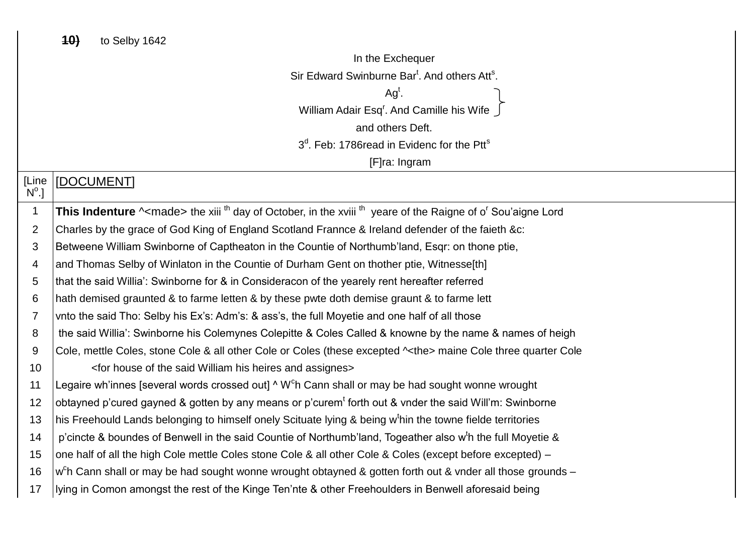$\overline{1}$ 

 $\overline{2}$ 

3

 $\overline{4}$ 

5

6  $\overline{7}$ 

 $\mathsf{R}$ 

9

 $11$ 

 $17$ 

In the Exchequer Sir Edward Swinburne Bar<sup>t</sup> And others Att<sup>s</sup>  $Aa^t$ . William Adair Esg<sup>r</sup>. And Camille his Wife and others Deft. 3<sup>d</sup>, Feb: 1786read in Evidenc for the Ptt<sup>s</sup> [F]ra: Ingram **ILine** [DOCUMENT]  $N^{\circ}.$ This Indenture ^<made> the xiii<sup>th</sup> day of October, in the xviii<sup>th</sup> yeare of the Raigne of o' Sou'aigne Lord Charles by the grace of God King of England Scotland Frannce & Ireland defender of the faieth &c: Betweene William Swinborne of Captheaton in the Countie of Northumb'land, Esgr: on thone ptie, and Thomas Selby of Winlaton in the Countie of Durham Gent on thother ptie, Witnesse[th] that the said Willia': Swinborne for & in Consideracon of the yearely rent hereafter referred hath demised graunted & to farme letten & by these pwte doth demise graunt & to farme lett vnto the said Tho: Selby his Ex's: Adm's: & ass's, the full Moyetie and one half of all those the said Willia': Swinborne his Colemynes Colepitte & Coles Called & knowne by the name & names of heigh Cole, mettle Coles, stone Cole & all other Cole or Coles (these excepted  $\sim$ the> maine Cole three quarter Cole <for house of the said William his heires and assignes>  $10$ Legaire wh'innes [several words crossed out] ^ W<sup>c</sup>h Cann shall or may be had sought wonne wrought  $12$ obtayned p'cured gayned & gotten by any means or p'curem<sup>t</sup> forth out & vnder the said Will'm: Swinborne his Freehould Lands belonging to himself onely Scituate Iving & being w<sup>t</sup>hin the towne fielde territories  $13$  $14$ p'cincte & boundes of Benwell in the said Countie of Northumb'land. Togeather also w<sup>t</sup>h the full Moyetie & one half of all the high Cole mettle Coles stone Cole & all other Cole & Coles (except before excepted) -15 w<sup>c</sup>h Cann shall or may be had sought wonne wrought obtayned & gotten forth out & vnder all those grounds -16 lying in Comon amongst the rest of the Kinge Ten'nte & other Freehoulders in Benwell aforesaid being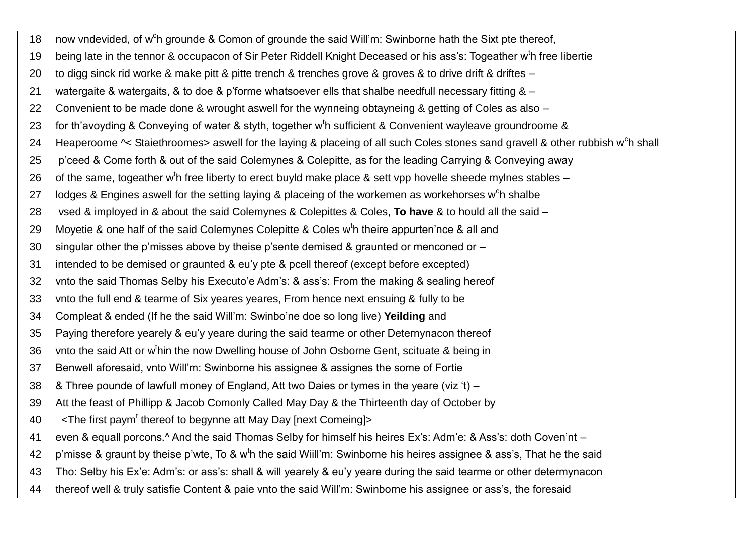now vndevided, of w<sup>c</sup>h grounde & Comon of grounde the said Will'm: Swinborne hath the Sixt pte thereof, 18 being late in the tennor & occupacon of Sir Peter Riddell Knight Deceased or his ass's: Togeather w<sup>t</sup>h free libertie 19 to digg sinck rid worke & make pitt & pitte trench & trenches grove & groves & to drive drift & driftes – 20 watergaite & watergaits, & to doe & p'forme whatsoever ells that shalbe needfull necessary fitting & - $21$ 22 Convenient to be made done & wrought aswell for the wynneing obtayneing & getting of Coles as also – for th'avoyding & Conveying of water & styth, together w<sup>t</sup>h sufficient & Convenient wayleave groundroome & 23 Heaperoome ~ Staiethroomes> aswell for the laying & placeing of all such Coles stones sand gravell & other rubbish w<sup>c</sup>h shall 24 p'ceed & Come forth & out of the said Colemynes & Colepitte, as for the leading Carrying & Conveying away 25 of the same, togeather w<sup>t</sup>h free liberty to erect buyld make place & sett vpp hovelle sheede mylnes stables – 26 27 lodges & Engines aswell for the setting laying & placeing of the workemen as workehorses w<sup>c</sup>h shalbe 28 vsed & imployed in & about the said Colemynes & Colepittes & Coles. To have & to hould all the said -Movetie & one half of the said Colemynes Colepitte & Coles w<sup>t</sup>h theire appurten'nce & all and 29 singular other the p'misses above by theise p'sente demised & graunted or menconed or -30 intended to be demised or graunted & eu'y pte & pcell thereof (except before excepted)  $\overline{31}$ 32 vnto the said Thomas Selby his Executo'e Adm's: & ass's: From the making & sealing hereof vnto the full end & tearme of Six yeares yeares, From hence next ensuing & fully to be 33 34 Compleat & ended (If he the said Will'm: Swinbo'ne doe so long live) Yeilding and Paying therefore yearely & eu'y yeare during the said tearme or other Deternynacon thereof 35 36 white the said Att or w<sup>t</sup>hin the now Dwelling house of John Osborne Gent, scituate & being in Benwell aforesaid, vnto Will'm: Swinborne his assignee & assignes the some of Fortie 37 8. Three pounde of lawfull money of England, Att two Daies or tymes in the yeare (viz 't) – 38 Att the feast of Phillipp & Jacob Comonly Called May Day & the Thirteenth day of October by 39 <The first paym<sup>t</sup> thereof to begynne att May Day [next Comeing]> 40 41 even & equall porcons.<sup>^</sup> And the said Thomas Selby for himself his heires Ex's: Adm'e: & Ass's: doth Coven'nt – p'misse & graunt by theise p'wte. To & w<sup>t</sup>h the said Wiill'm: Swinborne his heires assignee & ass's. That he the said 42 43 Tho: Selby his Ex'e: Adm's: or ass's: shall & will yearely & eu'y yeare during the said tearme or other determynacon thereof well & truly satisfie Content & paie vnto the said Will'm: Swinborne his assignee or ass's, the foresaid 44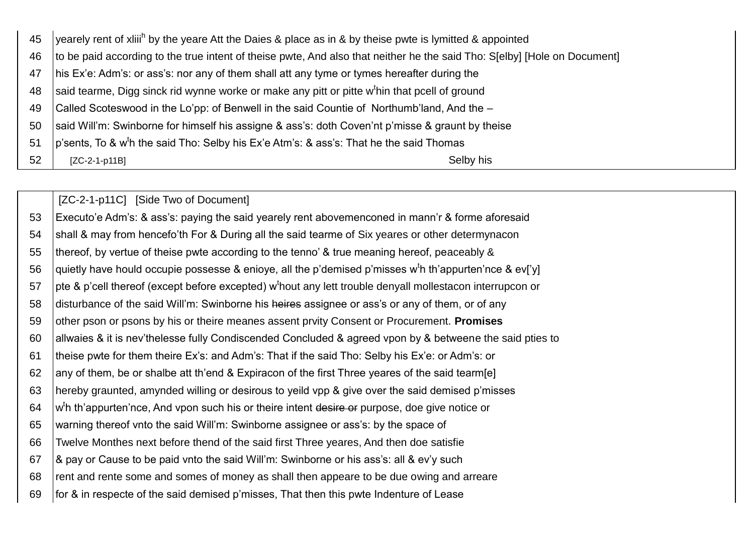| 45 | yearely rent of xilii <sup>h</sup> by the yeare Att the Daies & place as in & by theise pwte is lymitted & appointed      |
|----|---------------------------------------------------------------------------------------------------------------------------|
| 46 | to be paid according to the true intent of theise pwte, And also that neither he the said Tho: S[elby] [Hole on Document] |
| 47 | his Ex'e: Adm's: or ass's: nor any of them shall att any tyme or tymes hereafter during the                               |
| 48 | said tearme, Digg sinck rid wynne worke or make any pitt or pitte w <sup>t</sup> hin that pcell of ground                 |
| 49 | Called Scoteswood in the Lo'pp: of Benwell in the said Countie of Northumb'land, And the -                                |
| 50 | said Will'm: Swinborne for himself his assigne & ass's: doth Coven'nt p'misse & graunt by theise                          |
| 51 | $ p\$ sents, To & w <sup>t</sup> h the said Tho: Selby his Ex'e Atm's: & ass's: That he the said Thomas                   |
| 52 | Selby his<br>$[ZC-2-1-p11B]$                                                                                              |

[ZC-2-1-p11C] [Side Two of Document] 53 Executo'e Adm's: & ass's: paying the said yearely rent abovemenconed in mann'r & forme aforesaid shall & may from hencefo'th For & During all the said tearme of Six yeares or other determynacon 54 thereof, by vertue of theise pwte according to the tenno' & true meaning hereof, peaceably & 55 56 quietly have hould occupie possesse & enioye, all the p'demised p'misses w<sup>t</sup>h th'appurten'nce & ev['y] pte & p'cell thereof (except before excepted) w<sup>t</sup>hout any lett trouble denyall mollestacon interrupcon or 57 58 disturbance of the said Will'm: Swinborne his heires assignee or ass's or any of them, or of any 59 other pson or psons by his or theire meanes assent prvity Consent or Procurement. Promises allwaies & it is nev'thelesse fully Condiscended Concluded & agreed vpon by & betweene the said pties to 60 theise pwte for them theire Ex's: and Adm's: That if the said Tho: Selby his Ex'e: or Adm's: or 61 any of them, be or shalbe att th'end & Expiracon of the first Three yeares of the said tearm[e] 62 63 hereby graunted, amynded willing or desirous to yeild vpp & give over the said demised p'misses w<sup>t</sup>h th'appurten'nce, And vpon such his or theire intent desire or purpose, doe give notice or 64 warning thereof vnto the said Will'm: Swinborne assignee or ass's: by the space of 65 Twelve Monthes next before thend of the said first Three yeares, And then doe satisfie 66 8 pay or Cause to be paid vnto the said Will'm: Swinborne or his ass's: all & ev'y such 67 rent and rente some and somes of money as shall then appeare to be due owing and arreare 68 for & in respecte of the said demised p'misses, That then this pwte Indenture of Lease 69